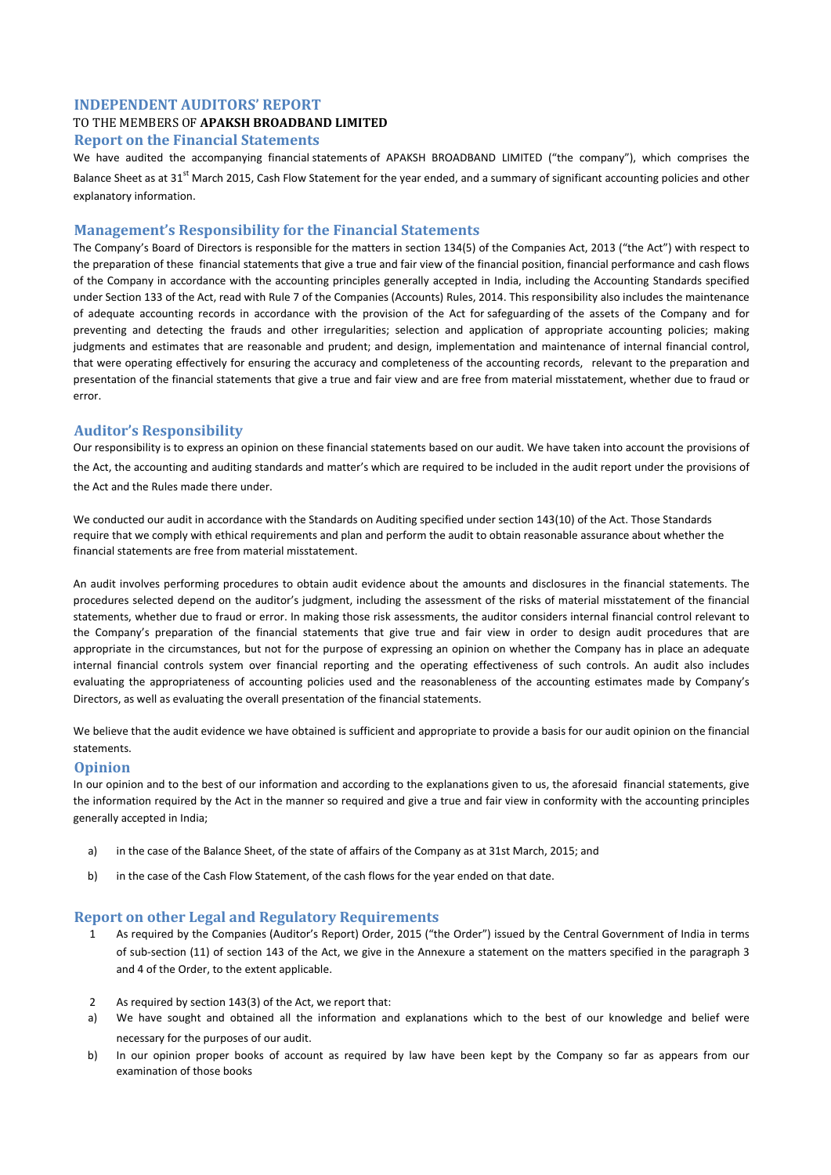### **INDEPENDENT AUDITORS' REPORT**

#### TO THE MEMBERS OF **APAKSH BROADBAND LIMITED**

#### **Report on the Financial Statements**

We have audited the accompanying financial statements of APAKSH BROADBAND LIMITED ("the company"), which comprises the Balance Sheet as at  $31^{st}$  March 2015, Cash Flow Statement for the year ended, and a summary of significant accounting policies and other explanatory information.

#### **Management's Responsibility for the Financial Statements**

The Company's Board of Directors is responsible for the matters in section 134(5) of the Companies Act, 2013 ("the Act") with respect to the preparation of these financial statements that give a true and fair view of the financial position, financial performance and cash flows of the Company in accordance with the accounting principles generally accepted in India, including the Accounting Standards specified under Section 133 of the Act, read with Rule 7 of the Companies (Accounts) Rules, 2014. This responsibility also includes the maintenance of adequate accounting records in accordance with the provision of the Act for safeguarding of the assets of the Company and for preventing and detecting the frauds and other irregularities; selection and application of appropriate accounting policies; making judgments and estimates that are reasonable and prudent; and design, implementation and maintenance of internal financial control, that were operating effectively for ensuring the accuracy and completeness of the accounting records, relevant to the preparation and presentation of the financial statements that give a true and fair view and are free from material misstatement, whether due to fraud or error.

#### **Auditor's Responsibility**

Our responsibility is to express an opinion on these financial statements based on our audit. We have taken into account the provisions of the Act, the accounting and auditing standards and matter's which are required to be included in the audit report under the provisions of the Act and the Rules made there under.

We conducted our audit in accordance with the Standards on Auditing specified under section 143(10) of the Act. Those Standards require that we comply with ethical requirements and plan and perform the audit to obtain reasonable assurance about whether the financial statements are free from material misstatement.

An audit involves performing procedures to obtain audit evidence about the amounts and disclosures in the financial statements. The procedures selected depend on the auditor's judgment, including the assessment of the risks of material misstatement of the financial statements, whether due to fraud or error. In making those risk assessments, the auditor considers internal financial control relevant to the Company's preparation of the financial statements that give true and fair view in order to design audit procedures that are appropriate in the circumstances, but not for the purpose of expressing an opinion on whether the Company has in place an adequate internal financial controls system over financial reporting and the operating effectiveness of such controls. An audit also includes evaluating the appropriateness of accounting policies used and the reasonableness of the accounting estimates made by Company's Directors, as well as evaluating the overall presentation of the financial statements.

We believe that the audit evidence we have obtained is sufficient and appropriate to provide a basis for our audit opinion on the financial statements.

#### **Opinion**

In our opinion and to the best of our information and according to the explanations given to us, the aforesaid financial statements, give the information required by the Act in the manner so required and give a true and fair view in conformity with the accounting principles generally accepted in India;

- a) in the case of the Balance Sheet, of the state of affairs of the Company as at 31st March, 2015; and
- b) in the case of the Cash Flow Statement, of the cash flows for the year ended on that date.

#### **Report on other Legal and Regulatory Requirements**

- 1 As required by the Companies (Auditor's Report) Order, 2015 ("the Order") issued by the Central Government of India in terms of sub-section (11) of section 143 of the Act, we give in the Annexure a statement on the matters specified in the paragraph 3 and 4 of the Order, to the extent applicable.
- 2 As required by section 143(3) of the Act, we report that:
- a) We have sought and obtained all the information and explanations which to the best of our knowledge and belief were necessary for the purposes of our audit.
- b) In our opinion proper books of account as required by law have been kept by the Company so far as appears from our examination of those books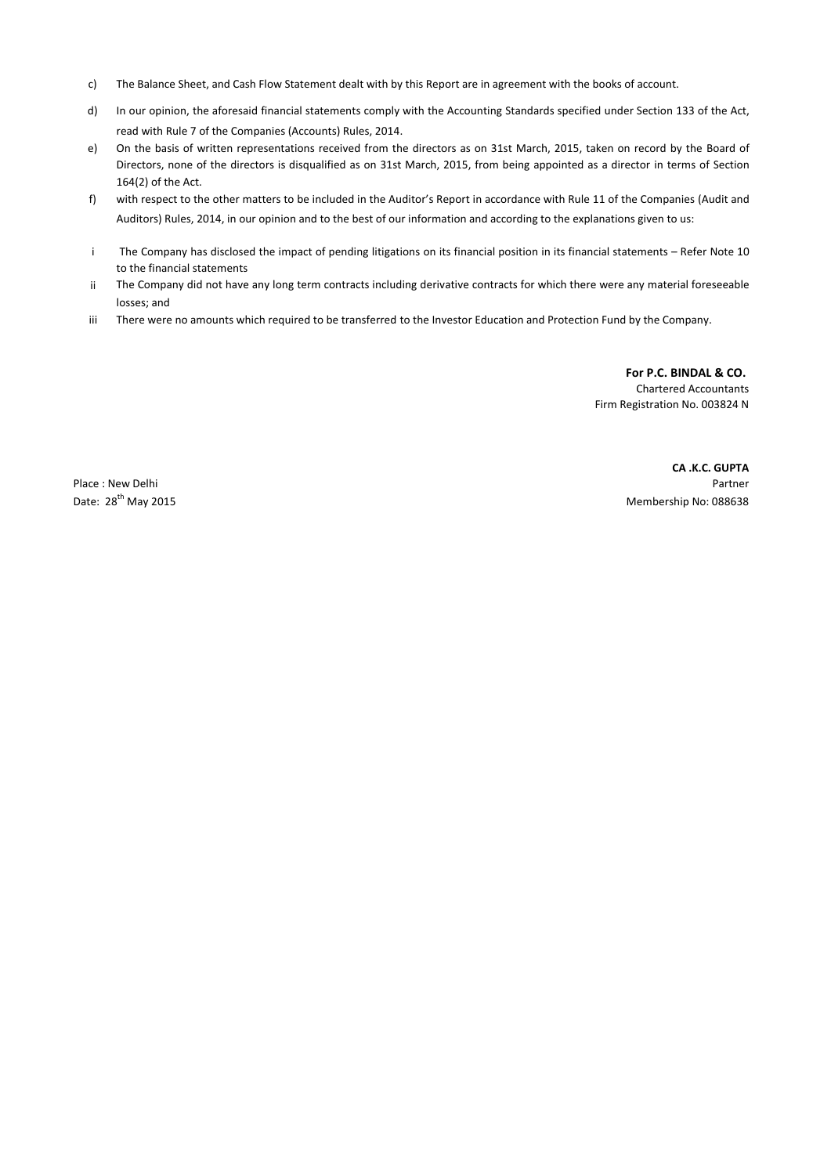- c) The Balance Sheet, and Cash Flow Statement dealt with by this Report are in agreement with the books of account.
- d) In our opinion, the aforesaid financial statements comply with the Accounting Standards specified under Section 133 of the Act, read with Rule 7 of the Companies (Accounts) Rules, 2014.
- e) On the basis of written representations received from the directors as on 31st March, 2015, taken on record by the Board of Directors, none of the directors is disqualified as on 31st March, 2015, from being appointed as a director in terms of Section 164(2) of the Act.
- f) with respect to the other matters to be included in the Auditor's Report in accordance with Rule 11 of the Companies (Audit and Auditors) Rules, 2014, in our opinion and to the best of our information and according to the explanations given to us:
- i The Company has disclosed the impact of pending litigations on its financial position in its financial statements – Refer Note 10 to the financial statements
- ii The Company did not have any long term contracts including derivative contracts for which there were any material foreseeable losses; and
- iii There were no amounts which required to be transferred to the Investor Education and Protection Fund by the Company.

**For P.C. BINDAL & CO.**  Chartered Accountants Firm Registration No. 003824 N

**CA .K.C. GUPTA** Place : New Delhi Partner<br>
Date: 28<sup>th</sup> May 2015<br>
Date: 28<sup>th</sup> May 2015 Membership No: 088638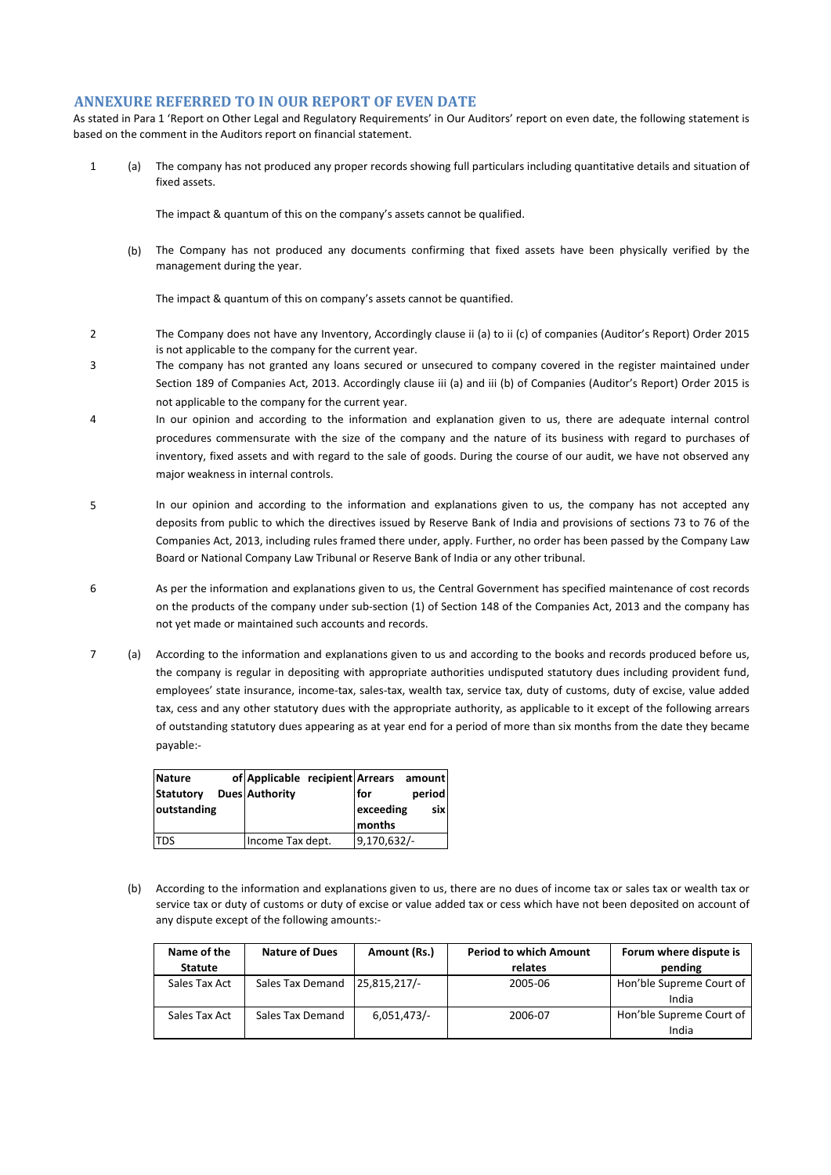#### **ANNEXURE REFERRED TO IN OUR REPORT OF EVEN DATE**

As stated in Para 1 'Report on Other Legal and Regulatory Requirements' in Our Auditors' report on even date, the following statement is based on the comment in the Auditors report on financial statement.

1 (a) The company has not produced any proper records showing full particulars including quantitative details and situation of fixed assets.

The impact & quantum of this on the company's assets cannot be qualified.

(b) The Company has not produced any documents confirming that fixed assets have been physically verified by the management during the year.

The impact & quantum of this on company's assets cannot be quantified.

- 2 The Company does not have any Inventory, Accordingly clause ii (a) to ii (c) of companies (Auditor's Report) Order 2015 is not applicable to the company for the current year.
- 3 The company has not granted any loans secured or unsecured to company covered in the register maintained under Section 189 of Companies Act, 2013. Accordingly clause iii (a) and iii (b) of Companies (Auditor's Report) Order 2015 is not applicable to the company for the current year.
- 4 In our opinion and according to the information and explanation given to us, there are adequate internal control procedures commensurate with the size of the company and the nature of its business with regard to purchases of inventory, fixed assets and with regard to the sale of goods. During the course of our audit, we have not observed any major weakness in internal controls.
- 5 In our opinion and according to the information and explanations given to us, the company has not accepted any deposits from public to which the directives issued by Reserve Bank of India and provisions of sections 73 to 76 of the Companies Act, 2013, including rules framed there under, apply. Further, no order has been passed by the Company Law Board or National Company Law Tribunal or Reserve Bank of India or any other tribunal.
- 6 As per the information and explanations given to us, the Central Government has specified maintenance of cost records on the products of the company under sub-section (1) of Section 148 of the Companies Act, 2013 and the company has not yet made or maintained such accounts and records.
- 7 (a) According to the information and explanations given to us and according to the books and records produced before us, the company is regular in depositing with appropriate authorities undisputed statutory dues including provident fund, employees' state insurance, income-tax, sales-tax, wealth tax, service tax, duty of customs, duty of excise, value added tax, cess and any other statutory dues with the appropriate authority, as applicable to it except of the following arrears of outstanding statutory dues appearing as at year end for a period of more than six months from the date they became payable:-

| <b>Nature</b>    | of Applicable recipient Arrears |             | amount |
|------------------|---------------------------------|-------------|--------|
| <b>Statutory</b> | <b>Dues Authority</b>           | for         | period |
| outstanding      |                                 | exceeding   | sixl   |
|                  |                                 | months      |        |
| <b>TDS</b>       | Income Tax dept.                | 9,170,632/- |        |

(b) According to the information and explanations given to us, there are no dues of income tax or sales tax or wealth tax or service tax or duty of customs or duty of excise or value added tax or cess which have not been deposited on account of any dispute except of the following amounts:-

| Name of the    | <b>Nature of Dues</b> | Amount (Rs.) | <b>Period to which Amount</b> | Forum where dispute is   |
|----------------|-----------------------|--------------|-------------------------------|--------------------------|
| <b>Statute</b> |                       |              | relates                       | pending                  |
| Sales Tax Act  | Sales Tax Demand      | 25,815,217/  | 2005-06                       | Hon'ble Supreme Court of |
|                |                       |              |                               | India                    |
| Sales Tax Act  | Sales Tax Demand      | 6,051,473/   | 2006-07                       | Hon'ble Supreme Court of |
|                |                       |              |                               | India                    |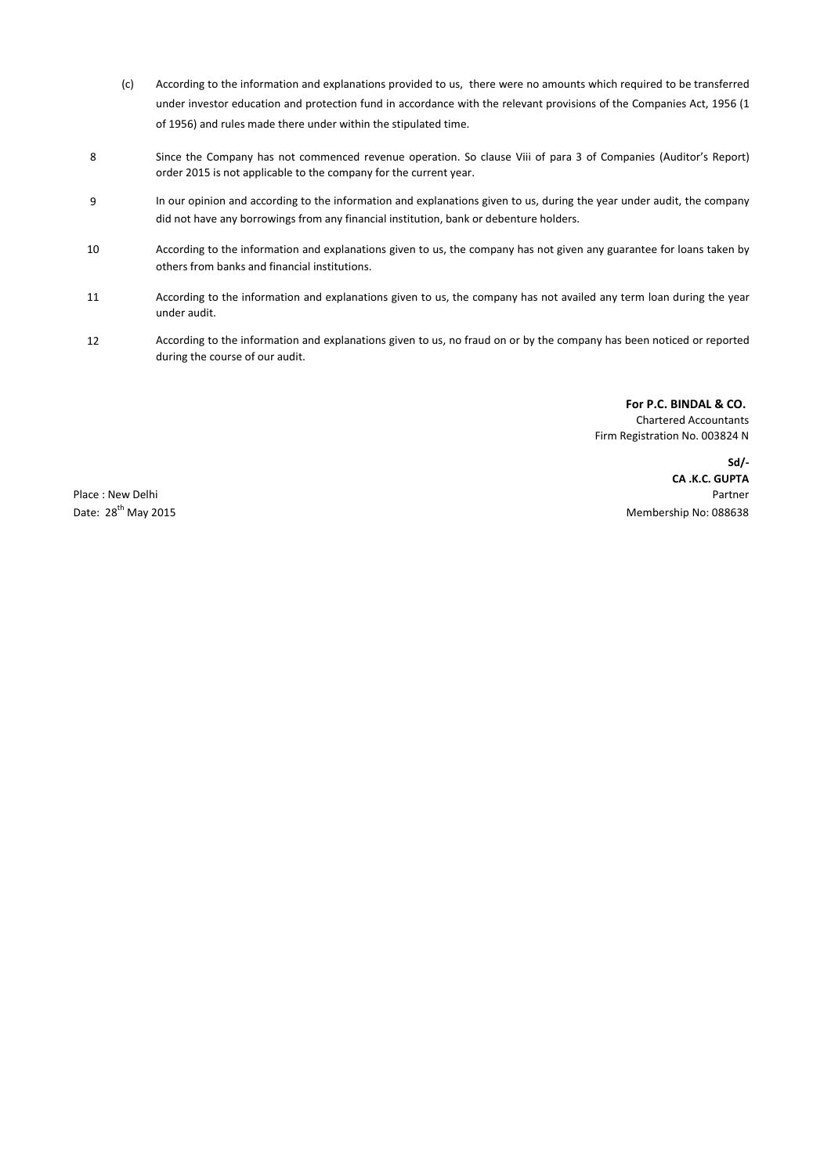- (c) According to the information and explanations provided to us, there were no amounts which required to be transferred under investor education and protection fund in accordance with the relevant provisions of the Companies Act, 1956 (1 of 1956) and rules made there under within the stipulated time.
- 8 Since the Company has not commenced revenue operation. So clause Viii of para 3 of Companies (Auditor's Report) order 2015 is not applicable to the company for the current year.
- 9 In our opinion and according to the information and explanations given to us, during the year under audit, the company did not have any borrowings from any financial institution, bank or debenture holders.
- 10 According to the information and explanations given to us, the company has not given any guarantee for loans taken by others from banks and financial institutions.
- 11 According to the information and explanations given to us, the company has not availed any term loan during the year under audit.
- 12 According to the information and explanations given to us, no fraud on or by the company has been noticed or reported during the course of our audit.

**For P.C. BINDAL & CO.**  Chartered Accountants Firm Registration No. 003824 N

**Sd/- CA .K.C. GUPTA** Place : New Delhi Partner New Delhi Partner New York 1999 and 2008 and 2009 and 2009 and 2009 and 2009 and 200 Date: 28<sup>th</sup> May 2015 Membership No: 088638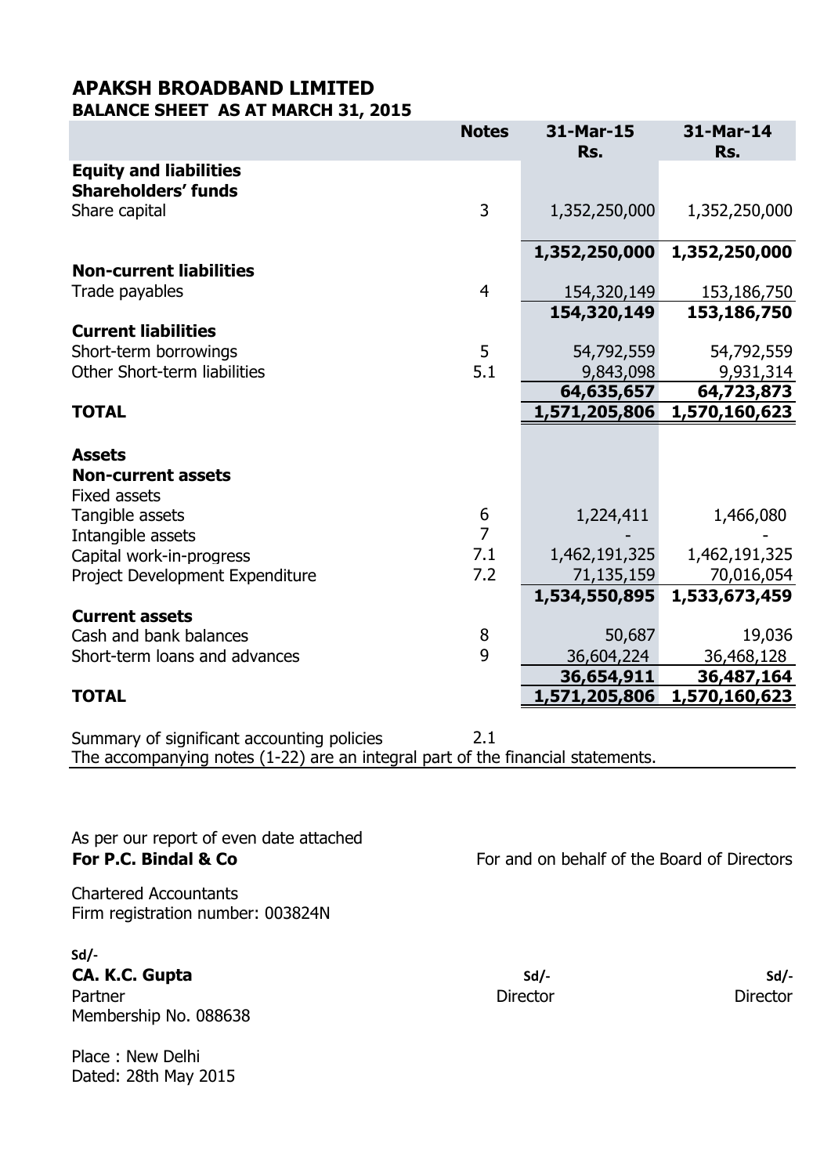### **APAKSH BROADBAND LIMITED BALANCE SHEET AS AT MARCH 31, 2015**

|                                 | <b>Notes</b>     | 31-Mar-15<br>Rs. | 31-Mar-14<br>Rs. |
|---------------------------------|------------------|------------------|------------------|
| <b>Equity and liabilities</b>   |                  |                  |                  |
| <b>Shareholders' funds</b>      |                  |                  |                  |
| Share capital                   | $\overline{3}$   | 1,352,250,000    | 1,352,250,000    |
|                                 |                  | 1,352,250,000    | 1,352,250,000    |
| <b>Non-current liabilities</b>  |                  |                  |                  |
| Trade payables                  | $\overline{4}$   | 154,320,149      | 153,186,750      |
|                                 |                  | 154,320,149      | 153,186,750      |
| <b>Current liabilities</b>      |                  |                  |                  |
| Short-term borrowings           | 5                | 54,792,559       | 54,792,559       |
| Other Short-term liabilities    | 5.1              | 9,843,098        | 9,931,314        |
|                                 |                  | 64,635,657       | 64,723,873       |
| <b>TOTAL</b>                    |                  | 1,571,205,806    | 1,570,160,623    |
|                                 |                  |                  |                  |
| <b>Assets</b>                   |                  |                  |                  |
| <b>Non-current assets</b>       |                  |                  |                  |
| <b>Fixed assets</b>             |                  |                  |                  |
| Tangible assets                 | $\boldsymbol{6}$ | 1,224,411        | 1,466,080        |
| Intangible assets               | $\overline{7}$   |                  |                  |
| Capital work-in-progress        | 7.1              | 1,462,191,325    | 1,462,191,325    |
| Project Development Expenditure | 7.2              | 71,135,159       | 70,016,054       |
|                                 |                  | 1,534,550,895    | 1,533,673,459    |
| <b>Current assets</b>           |                  |                  |                  |
| Cash and bank balances          | 8                | 50,687           | 19,036           |
| Short-term loans and advances   | 9                | 36,604,224       | 36,468,128       |
|                                 |                  | 36,654,911       | 36,487,164       |
| <b>TOTAL</b>                    |                  | 1,571,205,806    | 1,570,160,623    |

Summary of significant accounting policies 2.1 The accompanying notes (1-22) are an integral part of the financial statements.

As per our report of even date attached

Chartered Accountants Firm registration number: 003824N

**Sd/- CA. K.C. Gupta Sd/- Sd/-** Partner Director Director Director Director Director Director Director Director Membership No. 088638

Place : New Delhi Dated: 28th May 2015

**For P.C. Bindal & Co** For and on behalf of the Board of Directors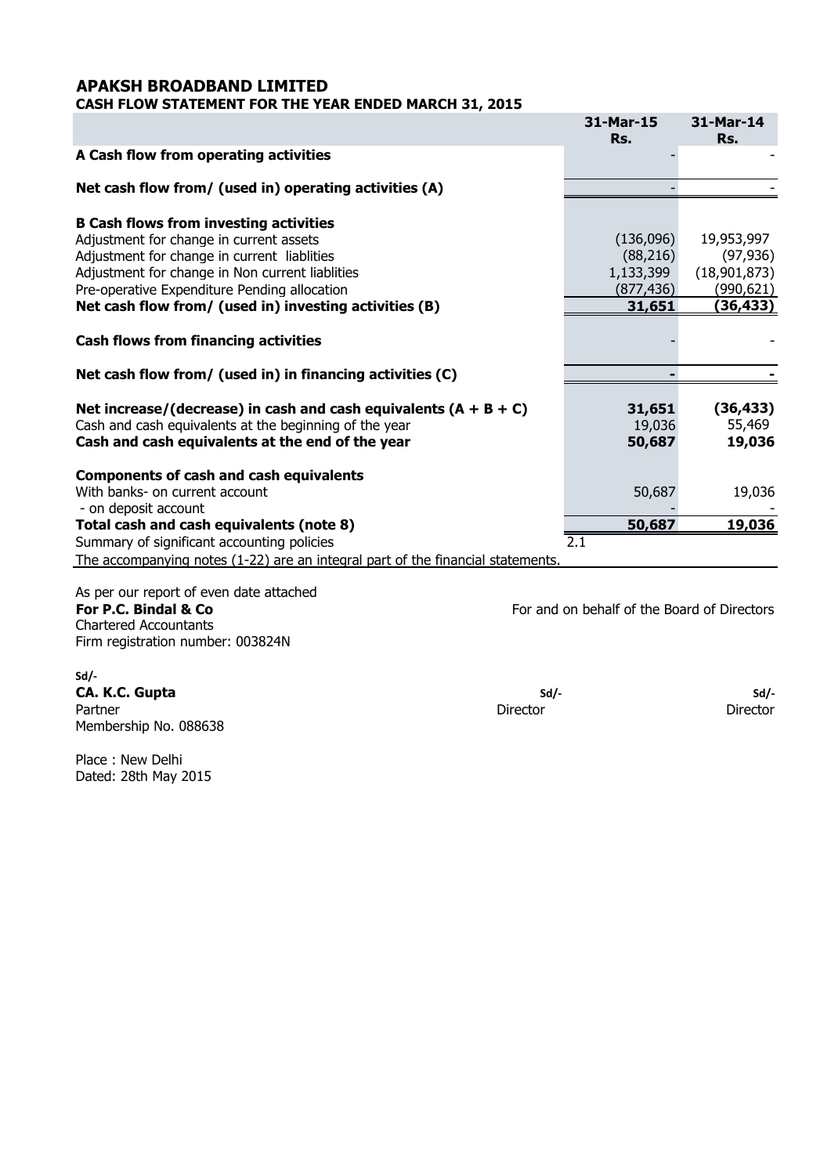### **APAKSH BROADBAND LIMITED CASH FLOW STATEMENT FOR THE YEAR ENDED MARCH 31, 2015**

|                                                        | 31-Mar-15<br>Rs. | 31-Mar-14<br>Rs. |
|--------------------------------------------------------|------------------|------------------|
| A Cash flow from operating activities                  |                  |                  |
| Net cash flow from/ (used in) operating activities (A) |                  |                  |
| <b>B Cash flows from investing activities</b>          |                  |                  |
| Adjustment for change in current assets                | (136,096)        | 19,953,997       |
| Adjustment for change in current liablities            | (88, 216)        | (97, 936)        |
| Adjustment for change in Non current liablities        | 1,133,399        | (18,901,873)     |
| Pre-operative Expenditure Pending allocation           | (877, 436)       | (990,621)        |
| Net cash flow from/ (used in) investing activities (B) | 31,651           | (36, 433)        |
| <b>Cash flows from financing activities</b>            |                  |                  |

**Net cash flow from/ (used in) in financing activities (C)**

| Net increase/(decrease) in cash and cash equivalents $(A + B + C)$<br>Cash and cash equivalents at the beginning of the year<br>Cash and cash equivalents at the end of the year | 31,651<br>19,036<br>50,687 | (36,433)<br>55,469<br>19,036 |
|----------------------------------------------------------------------------------------------------------------------------------------------------------------------------------|----------------------------|------------------------------|
| <b>Components of cash and cash equivalents</b>                                                                                                                                   |                            |                              |
| With banks- on current account                                                                                                                                                   | 50,687                     | 19,036                       |
| - on deposit account                                                                                                                                                             |                            |                              |
| Total cash and cash equivalents (note 8)                                                                                                                                         | 50,687                     | 19,036                       |
| Summary of significant accounting policies                                                                                                                                       | 2.1                        |                              |
| The accompanying notes (1-22) are an integral part of the financial statements.                                                                                                  |                            |                              |

As per our report of even date attached **For P.C. Bindal & Co For and on behalf of the Board of Directors** Chartered Accountants Firm registration number: 003824N

**Sd/- CA. K.C. Gupta Sd/- Sd/- Sd/- Sd/- Sd/- Sd/- Sd/- Sd/- Sd/- Sd/- Sd/- Sd/- Sd/- Sd/- Sd/- Sd/- Sd/- Sd/- Sd/- Sd/- Sd/- Sd/- Sd/- Sd/- Sd/- Sd/- Sd/- Sd/- Sd/- S** Partner Director Director Director Director Director Director Director Director Director Membership No. 088638

Place : New Delhi Dated: 28th May 2015

 *- - - - - - - - - - - - - - - -*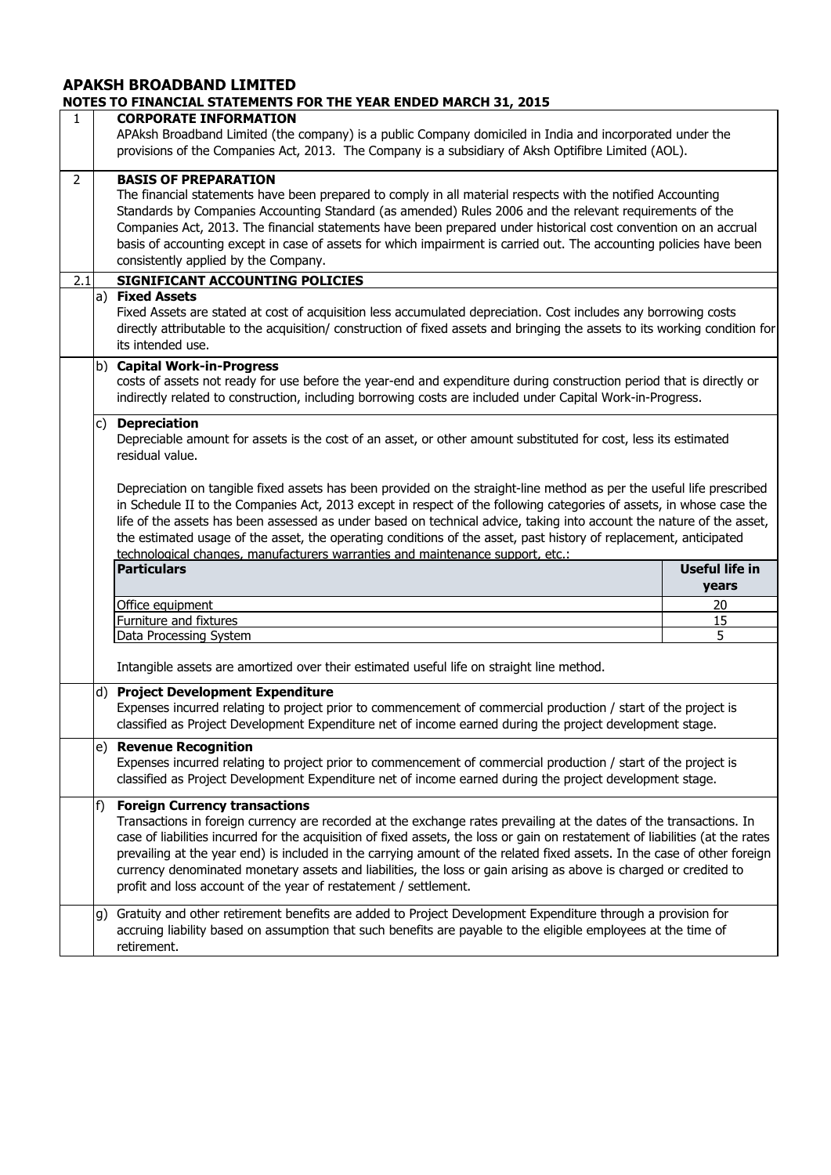| $\mathbf{1}$   |                                                                                                                                                                           | <b>CORPORATE INFORMATION</b><br>APAksh Broadband Limited (the company) is a public Company domiciled in India and incorporated under the<br>provisions of the Companies Act, 2013. The Company is a subsidiary of Aksh Optifibre Limited (AOL).                                                                                                                                                                                                                                                                                                                                                                    |                                |
|----------------|---------------------------------------------------------------------------------------------------------------------------------------------------------------------------|--------------------------------------------------------------------------------------------------------------------------------------------------------------------------------------------------------------------------------------------------------------------------------------------------------------------------------------------------------------------------------------------------------------------------------------------------------------------------------------------------------------------------------------------------------------------------------------------------------------------|--------------------------------|
| $\overline{2}$ |                                                                                                                                                                           | <b>BASIS OF PREPARATION</b><br>The financial statements have been prepared to comply in all material respects with the notified Accounting<br>Standards by Companies Accounting Standard (as amended) Rules 2006 and the relevant requirements of the<br>Companies Act, 2013. The financial statements have been prepared under historical cost convention on an accrual<br>basis of accounting except in case of assets for which impairment is carried out. The accounting policies have been<br>consistently applied by the Company.                                                                            |                                |
| 2.1            |                                                                                                                                                                           | SIGNIFICANT ACCOUNTING POLICIES                                                                                                                                                                                                                                                                                                                                                                                                                                                                                                                                                                                    |                                |
|                |                                                                                                                                                                           | a) Fixed Assets<br>Fixed Assets are stated at cost of acquisition less accumulated depreciation. Cost includes any borrowing costs<br>directly attributable to the acquisition/ construction of fixed assets and bringing the assets to its working condition for<br>its intended use.                                                                                                                                                                                                                                                                                                                             |                                |
|                |                                                                                                                                                                           | b) Capital Work-in-Progress<br>costs of assets not ready for use before the year-end and expenditure during construction period that is directly or<br>indirectly related to construction, including borrowing costs are included under Capital Work-in-Progress.                                                                                                                                                                                                                                                                                                                                                  |                                |
|                | <b>Depreciation</b><br>$\mathsf{C}$<br>Depreciable amount for assets is the cost of an asset, or other amount substituted for cost, less its estimated<br>residual value. |                                                                                                                                                                                                                                                                                                                                                                                                                                                                                                                                                                                                                    |                                |
|                |                                                                                                                                                                           | Depreciation on tangible fixed assets has been provided on the straight-line method as per the useful life prescribed<br>in Schedule II to the Companies Act, 2013 except in respect of the following categories of assets, in whose case the<br>life of the assets has been assessed as under based on technical advice, taking into account the nature of the asset,<br>the estimated usage of the asset, the operating conditions of the asset, past history of replacement, anticipated<br>technological changes, manufacturers warranties and maintenance support, etc.:                                      |                                |
|                |                                                                                                                                                                           | <b>Particulars</b>                                                                                                                                                                                                                                                                                                                                                                                                                                                                                                                                                                                                 | <b>Useful life in</b><br>years |
|                |                                                                                                                                                                           | Office equipment                                                                                                                                                                                                                                                                                                                                                                                                                                                                                                                                                                                                   | 20                             |
|                |                                                                                                                                                                           | Furniture and fixtures                                                                                                                                                                                                                                                                                                                                                                                                                                                                                                                                                                                             | 15                             |
|                |                                                                                                                                                                           | Data Processing System                                                                                                                                                                                                                                                                                                                                                                                                                                                                                                                                                                                             | 5                              |
|                |                                                                                                                                                                           | Intangible assets are amortized over their estimated useful life on straight line method.                                                                                                                                                                                                                                                                                                                                                                                                                                                                                                                          |                                |
|                |                                                                                                                                                                           | d) Project Development Expenditure<br>Expenses incurred relating to project prior to commencement of commercial production / start of the project is<br>classified as Project Development Expenditure net of income earned during the project development stage.                                                                                                                                                                                                                                                                                                                                                   |                                |
|                | e)                                                                                                                                                                        | <b>Revenue Recognition</b><br>Expenses incurred relating to project prior to commencement of commercial production / start of the project is<br>classified as Project Development Expenditure net of income earned during the project development stage.                                                                                                                                                                                                                                                                                                                                                           |                                |
|                | f)                                                                                                                                                                        | <b>Foreign Currency transactions</b><br>Transactions in foreign currency are recorded at the exchange rates prevailing at the dates of the transactions. In<br>case of liabilities incurred for the acquisition of fixed assets, the loss or gain on restatement of liabilities (at the rates<br>prevailing at the year end) is included in the carrying amount of the related fixed assets. In the case of other foreign<br>currency denominated monetary assets and liabilities, the loss or gain arising as above is charged or credited to<br>profit and loss account of the year of restatement / settlement. |                                |
|                | g)                                                                                                                                                                        | Gratuity and other retirement benefits are added to Project Development Expenditure through a provision for<br>accruing liability based on assumption that such benefits are payable to the eligible employees at the time of<br>retirement.                                                                                                                                                                                                                                                                                                                                                                       |                                |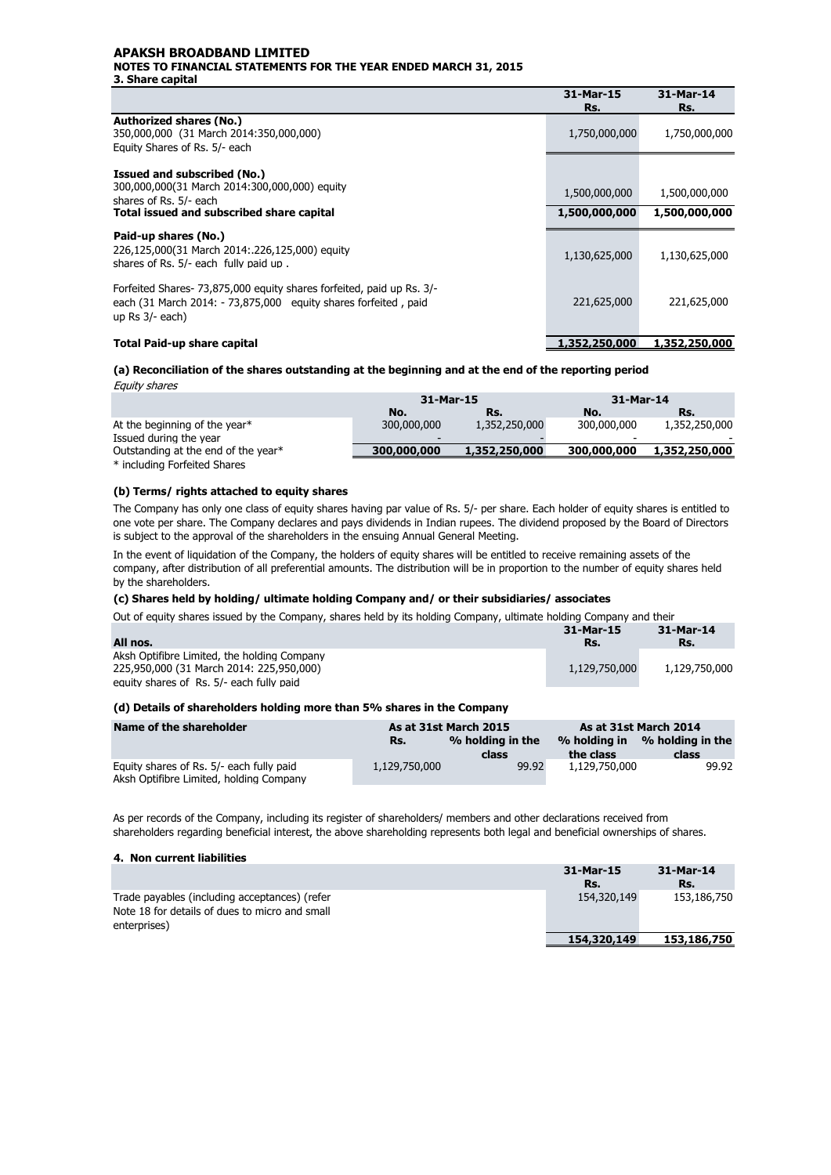#### **APAKSH BROADBAND LIMITED NOTES TO FINANCIAL STATEMENTS FOR THE YEAR ENDED MARCH 31, 2015 3. Share capital**

|                                                                                                                                                                 | 31-Mar-15<br>Rs.               | 31-Mar-14<br>Rs.               |
|-----------------------------------------------------------------------------------------------------------------------------------------------------------------|--------------------------------|--------------------------------|
| <b>Authorized shares (No.)</b><br>350,000,000 (31 March 2014:350,000,000)<br>Equity Shares of Rs. 5/- each                                                      | 1,750,000,000                  | 1,750,000,000                  |
| Issued and subscribed (No.)<br>300,000,000(31 March 2014:300,000,000) equity<br>shares of Rs. 5/- each<br>Total issued and subscribed share capital             | 1,500,000,000<br>1,500,000,000 | 1,500,000,000<br>1,500,000,000 |
| Paid-up shares (No.)<br>226,125,000(31 March 2014: 226,125,000) equity<br>shares of Rs. 5/- each fully paid up.                                                 | 1,130,625,000                  | 1,130,625,000                  |
| Forfeited Shares- 73,875,000 equity shares forfeited, paid up Rs. 3/-<br>each (31 March 2014: - 73,875,000 equity shares forfeited, paid<br>up $Rs$ $3/-$ each) | 221,625,000                    | 221,625,000                    |
| Total Paid-up share capital                                                                                                                                     | 1,352,250,000                  | 1,352,250,000                  |

#### **(a) Reconciliation of the shares outstanding at the beginning and at the end of the reporting period** Equity shares

| Lyun, pharco                        |             |               |             |               |
|-------------------------------------|-------------|---------------|-------------|---------------|
|                                     | 31-Mar-15   |               | 31-Mar-14   |               |
|                                     | No.         | Rs.           | No.         | Rs.           |
| At the beginning of the year*       | 300,000,000 | 1,352,250,000 | 300,000,000 | 1,352,250,000 |
| Issued during the year              |             |               | -           |               |
| Outstanding at the end of the year* | 300,000,000 | 1,352,250,000 | 300,000,000 | 1,352,250,000 |
| * including Forfeited Shares        |             |               |             |               |

#### **(b) Terms/ rights attached to equity shares**

The Company has only one class of equity shares having par value of Rs. 5/- per share. Each holder of equity shares is entitled to one vote per share. The Company declares and pays dividends in Indian rupees. The dividend proposed by the Board of Directors is subject to the approval of the shareholders in the ensuing Annual General Meeting.

In the event of liquidation of the Company, the holders of equity shares will be entitled to receive remaining assets of the company, after distribution of all preferential amounts. The distribution will be in proportion to the number of equity shares held by the shareholders.

#### **(c) Shares held by holding/ ultimate holding Company and/ or their subsidiaries/ associates**

Out of equity shares issued by the Company, shares held by its holding Company, ultimate holding Company and their

|                                             | 31-Mar-15     | 31-Mar-14     |
|---------------------------------------------|---------------|---------------|
| All nos.                                    | Rs.           | Rs.           |
| Aksh Optifibre Limited, the holding Company |               |               |
| 225.950.000 (31 March 2014: 225.950.000)    | 1,129,750,000 | 1,129,750,000 |
| equity shares of Rs. 5/- each fully paid    |               |               |

#### **(d) Details of shareholders holding more than 5% shares in the Company**

| Name of the shareholder                                                             |               | As at 31st March 2014<br>As at 31st March 2015 |               |                                        |
|-------------------------------------------------------------------------------------|---------------|------------------------------------------------|---------------|----------------------------------------|
|                                                                                     | Rs.           | % holding in the<br>class                      | the class     | % holding in % holding in the<br>class |
| Equity shares of Rs. 5/- each fully paid<br>Aksh Optifibre Limited, holding Company | 1,129,750,000 | 99.92                                          | 1,129,750,000 | 99.92                                  |

As per records of the Company, including its register of shareholders/ members and other declarations received from shareholders regarding beneficial interest, the above shareholding represents both legal and beneficial ownerships of shares.

#### **4. Non current liabilities**

|                                                                                                                 | 31-Mar-15<br>Rs. | 31-Mar-14<br>Rs. |
|-----------------------------------------------------------------------------------------------------------------|------------------|------------------|
| Trade payables (including acceptances) (refer<br>Note 18 for details of dues to micro and small<br>enterprises) | 154,320,149      | 153,186,750      |
|                                                                                                                 | 154,320,149      | 153,186,750      |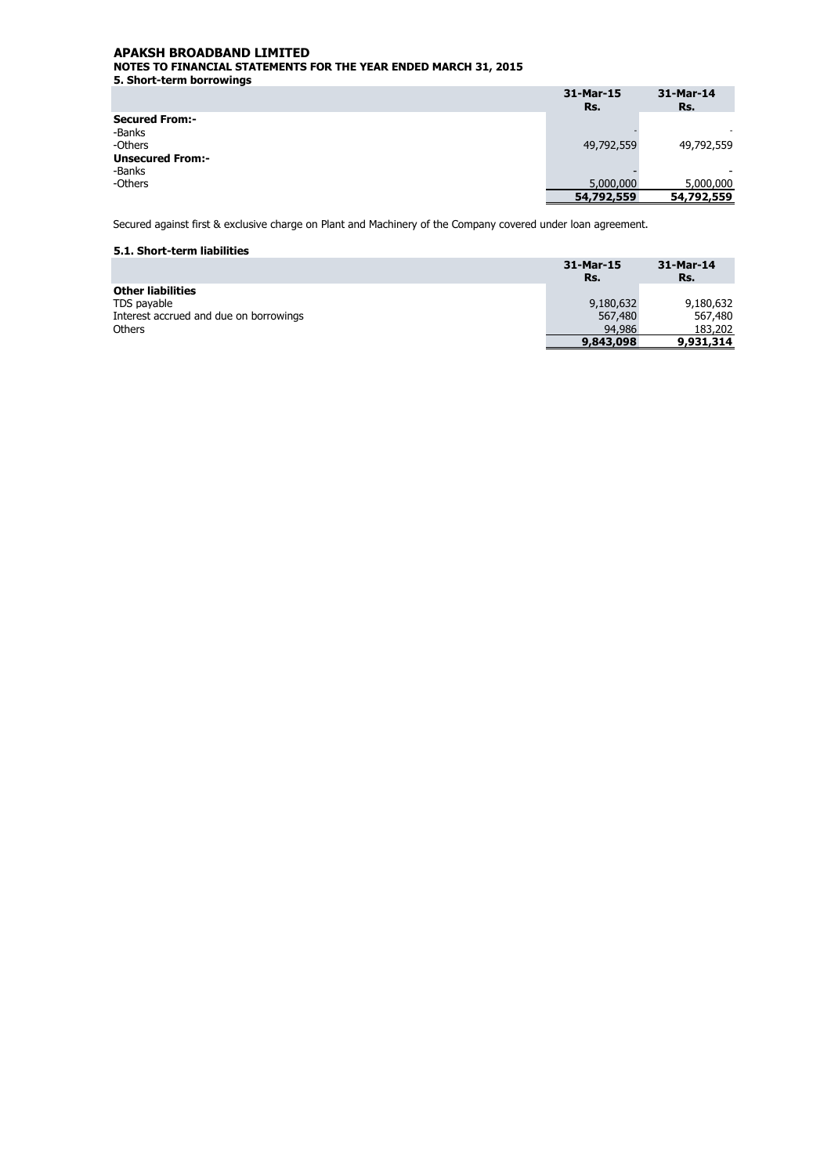**5. Short-term borrowings** 

|                         | 31-Mar-15<br>Rs. | 31-Mar-14<br>Rs. |
|-------------------------|------------------|------------------|
| <b>Secured From:-</b>   |                  |                  |
| -Banks                  |                  |                  |
| -Others                 | 49,792,559       | 49,792,559       |
| <b>Unsecured From:-</b> |                  |                  |
| -Banks                  |                  | -                |
| -Others                 | 5,000,000        | 5,000,000        |
|                         | 54,792,559       | 54,792,559       |

Secured against first & exclusive charge on Plant and Machinery of the Company covered under loan agreement.

#### **5.1. Short-term liabilities**

|                                        | 31-Mar-15<br>Rs. | 31-Mar-14<br>Rs. |
|----------------------------------------|------------------|------------------|
| <b>Other liabilities</b>               |                  |                  |
| TDS payable                            | 9,180,632        | 9,180,632        |
| Interest accrued and due on borrowings | 567,480          | 567,480          |
| <b>Others</b>                          | 94,986           | 183,202          |
|                                        | 9,843,098        | 9,931,314        |
|                                        |                  |                  |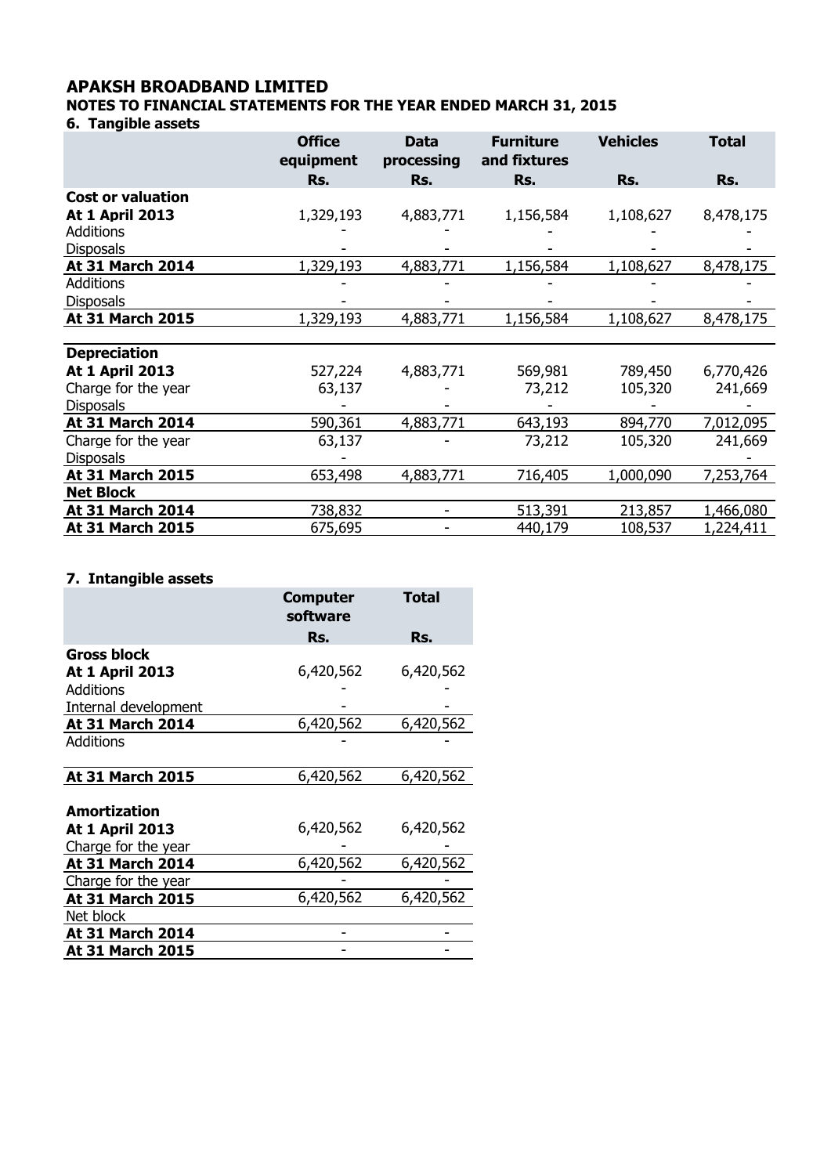### **APAKSH BROADBAND LIMITED**

**NOTES TO FINANCIAL STATEMENTS FOR THE YEAR ENDED MARCH 31, 2015**

**6. Tangible assets** 

|                          | <b>Office</b><br>equipment | <b>Data</b><br>processing | <b>Furniture</b><br>and fixtures | <b>Vehicles</b> | <b>Total</b> |
|--------------------------|----------------------------|---------------------------|----------------------------------|-----------------|--------------|
|                          | Rs.                        | Rs.                       | Rs.                              | Rs.             | Rs.          |
| <b>Cost or valuation</b> |                            |                           |                                  |                 |              |
| <b>At 1 April 2013</b>   | 1,329,193                  | 4,883,771                 | 1,156,584                        | 1,108,627       | 8,478,175    |
| <b>Additions</b>         |                            |                           |                                  |                 |              |
| <b>Disposals</b>         |                            |                           |                                  |                 |              |
| At 31 March 2014         | 1,329,193                  | 4,883,771                 | 1,156,584                        | 1,108,627       | 8,478,175    |
| <b>Additions</b>         |                            |                           |                                  |                 |              |
| <b>Disposals</b>         |                            |                           |                                  |                 |              |
| At 31 March 2015         | 1,329,193                  | 4,883,771                 | 1,156,584                        | 1,108,627       | 8,478,175    |
|                          |                            |                           |                                  |                 |              |
| <b>Depreciation</b>      |                            |                           |                                  |                 |              |
| <b>At 1 April 2013</b>   | 527,224                    | 4,883,771                 | 569,981                          | 789,450         | 6,770,426    |
| Charge for the year      | 63,137                     |                           | 73,212                           | 105,320         | 241,669      |
| <b>Disposals</b>         |                            |                           |                                  |                 |              |
| <b>At 31 March 2014</b>  | 590,361                    | 4,883,771                 | 643,193                          | 894,770         | 7,012,095    |
| Charge for the year      | 63,137                     |                           | 73,212                           | 105,320         | 241,669      |
| <b>Disposals</b>         |                            |                           |                                  |                 |              |
| At 31 March 2015         | 653,498                    | 4,883,771                 | 716,405                          | 1,000,090       | 7,253,764    |
| <b>Net Block</b>         |                            |                           |                                  |                 |              |
| At 31 March 2014         | 738,832                    |                           | 513,391                          | 213,857         | 1,466,080    |
| <b>At 31 March 2015</b>  | 675,695                    |                           | 440,179                          | 108,537         | 1,224,411    |

### **7. Intangible assets**

|                         | <b>Computer</b><br>software | <b>Total</b> |
|-------------------------|-----------------------------|--------------|
|                         | Rs.                         | Rs.          |
| <b>Gross block</b>      |                             |              |
| <b>At 1 April 2013</b>  | 6,420,562                   | 6,420,562    |
| Additions               |                             |              |
| Internal development    |                             |              |
| At 31 March 2014        | 6,420,562                   | 6,420,562    |
| Additions               |                             |              |
|                         |                             |              |
| At 31 March 2015        | 6,420,562                   | 6,420,562    |
|                         |                             |              |
| Amortization            |                             |              |
| <b>At 1 April 2013</b>  | 6,420,562                   | 6,420,562    |
| Charge for the year     |                             |              |
| <b>At 31 March 2014</b> | 6,420,562                   | 6,420,562    |
| Charge for the year     |                             |              |
| <b>At 31 March 2015</b> | 6,420,562                   | 6,420,562    |
| Net block               |                             |              |
| <b>At 31 March 2014</b> |                             |              |
| At 31 March 2015        |                             |              |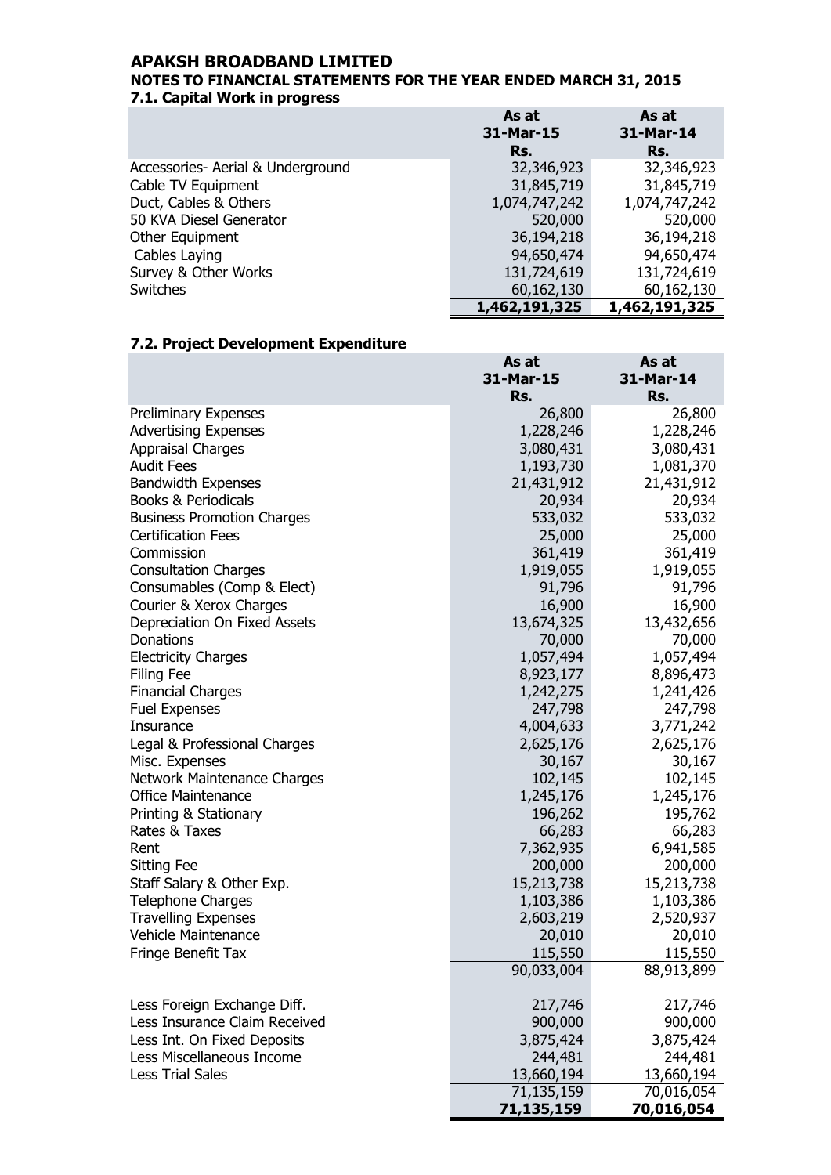### **APAKSH BROADBAND LIMITED**

### **7.1. Capital Work in progress NOTES TO FINANCIAL STATEMENTS FOR THE YEAR ENDED MARCH 31, 2015**

|                                   | As at         | As at         |
|-----------------------------------|---------------|---------------|
|                                   | 31-Mar-15     | 31-Mar-14     |
|                                   | Rs.           | Rs.           |
| Accessories- Aerial & Underground | 32,346,923    | 32,346,923    |
| Cable TV Equipment                | 31,845,719    | 31,845,719    |
| Duct, Cables & Others             | 1,074,747,242 | 1,074,747,242 |
| 50 KVA Diesel Generator           | 520,000       | 520,000       |
| Other Equipment                   | 36,194,218    | 36,194,218    |
| Cables Laying                     | 94,650,474    | 94,650,474    |
| Survey & Other Works              | 131,724,619   | 131,724,619   |
| Switches                          | 60,162,130    | 60,162,130    |
|                                   | 1,462,191,325 | 1,462,191,325 |

### **7.2. Project Development Expenditure**

| As at      | As at                                                                                                                                                                                                      |
|------------|------------------------------------------------------------------------------------------------------------------------------------------------------------------------------------------------------------|
|            | 31-Mar-14                                                                                                                                                                                                  |
| Rs.        | Rs.                                                                                                                                                                                                        |
|            | 26,800                                                                                                                                                                                                     |
|            | 1,228,246                                                                                                                                                                                                  |
|            | 3,080,431                                                                                                                                                                                                  |
|            | 1,081,370                                                                                                                                                                                                  |
|            | 21,431,912                                                                                                                                                                                                 |
|            | 20,934                                                                                                                                                                                                     |
|            | 533,032                                                                                                                                                                                                    |
|            | 25,000                                                                                                                                                                                                     |
|            | 361,419                                                                                                                                                                                                    |
| 1,919,055  | 1,919,055                                                                                                                                                                                                  |
| 91,796     | 91,796                                                                                                                                                                                                     |
| 16,900     | 16,900                                                                                                                                                                                                     |
| 13,674,325 | 13,432,656                                                                                                                                                                                                 |
| 70,000     | 70,000                                                                                                                                                                                                     |
| 1,057,494  | 1,057,494                                                                                                                                                                                                  |
| 8,923,177  | 8,896,473                                                                                                                                                                                                  |
| 1,242,275  | 1,241,426                                                                                                                                                                                                  |
| 247,798    | 247,798                                                                                                                                                                                                    |
| 4,004,633  | 3,771,242                                                                                                                                                                                                  |
| 2,625,176  | 2,625,176                                                                                                                                                                                                  |
| 30,167     | 30,167                                                                                                                                                                                                     |
| 102,145    | 102,145                                                                                                                                                                                                    |
| 1,245,176  | 1,245,176                                                                                                                                                                                                  |
| 196,262    | 195,762                                                                                                                                                                                                    |
| 66,283     | 66,283                                                                                                                                                                                                     |
| 7,362,935  | 6,941,585                                                                                                                                                                                                  |
| 200,000    | 200,000                                                                                                                                                                                                    |
| 15,213,738 | 15,213,738                                                                                                                                                                                                 |
| 1,103,386  | 1,103,386                                                                                                                                                                                                  |
| 2,603,219  | 2,520,937                                                                                                                                                                                                  |
| 20,010     | 20,010                                                                                                                                                                                                     |
| 115,550    | 115,550                                                                                                                                                                                                    |
| 90,033,004 | 88,913,899                                                                                                                                                                                                 |
|            | 217,746                                                                                                                                                                                                    |
|            | 900,000                                                                                                                                                                                                    |
|            | 3,875,424                                                                                                                                                                                                  |
|            | 244,481                                                                                                                                                                                                    |
|            | 13,660,194                                                                                                                                                                                                 |
|            | 70,016,054                                                                                                                                                                                                 |
|            | 70,016,054                                                                                                                                                                                                 |
|            | 31-Mar-15<br>26,800<br>1,228,246<br>3,080,431<br>1,193,730<br>21,431,912<br>20,934<br>533,032<br>25,000<br>361,419<br>217,746<br>900,000<br>3,875,424<br>244,481<br>13,660,194<br>71,135,159<br>71,135,159 |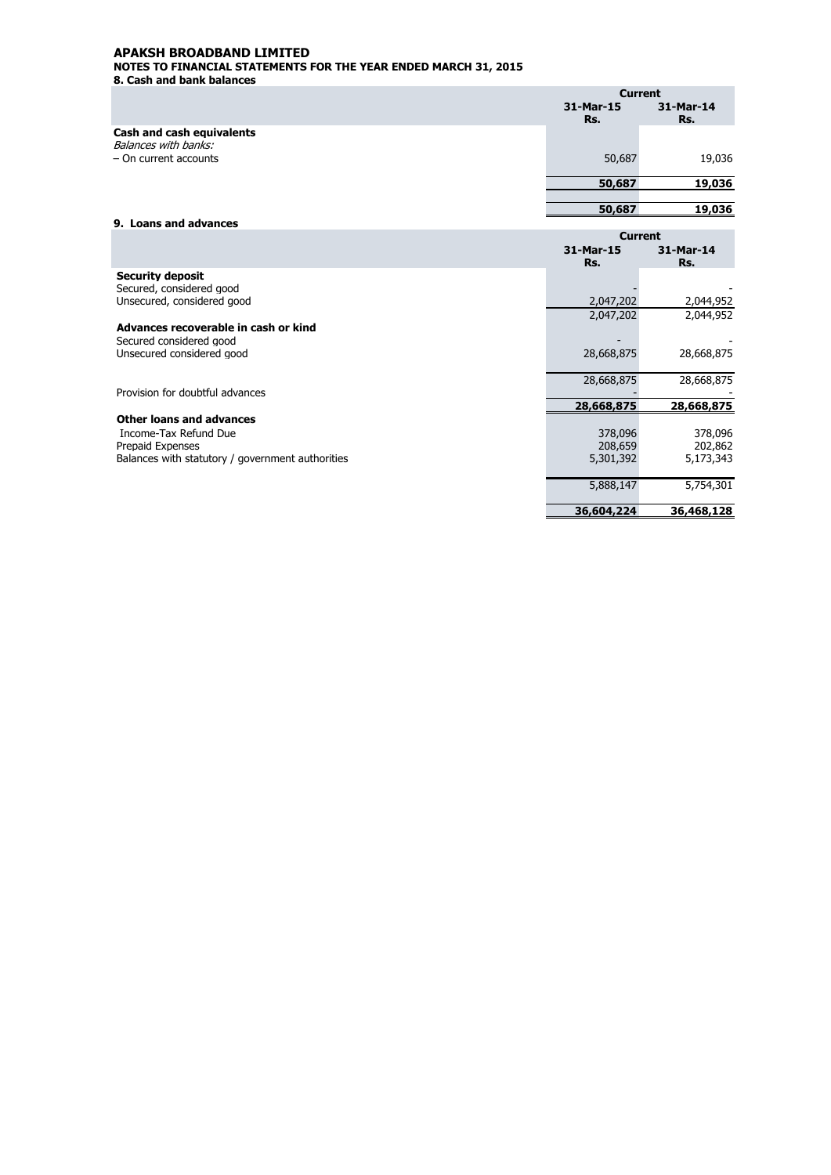**8. Cash and bank balances** 

|                                                   |           | <b>Current</b> |
|---------------------------------------------------|-----------|----------------|
|                                                   | 31-Mar-15 | 31-Mar-14      |
| Cash and cash equivalents<br>Balances with banks: | Rs.       | Rs.            |
| $-$ On current accounts                           | 50,687    | 19,036         |
|                                                   | 50,687    | 19,036         |
|                                                   | 50,687    | 19,036         |
| 9. Loans and advances                             |           |                |

|                                                  | <b>Current</b>   |                  |
|--------------------------------------------------|------------------|------------------|
|                                                  | 31-Mar-15<br>Rs. | 31-Mar-14<br>Rs. |
| <b>Security deposit</b>                          |                  |                  |
| Secured, considered good                         |                  |                  |
| Unsecured, considered good                       | 2,047,202        | 2,044,952        |
|                                                  | 2,047,202        | 2,044,952        |
| Advances recoverable in cash or kind             |                  |                  |
| Secured considered good                          |                  |                  |
| Unsecured considered good                        | 28,668,875       | 28,668,875       |
|                                                  |                  |                  |
|                                                  | 28,668,875       | 28,668,875       |
| Provision for doubtful advances                  |                  |                  |
|                                                  | 28,668,875       | 28,668,875       |
| Other loans and advances                         |                  |                  |
| Income-Tax Refund Due                            | 378,096          | 378,096          |
| Prepaid Expenses                                 | 208,659          | 202,862          |
| Balances with statutory / government authorities | 5,301,392        | 5,173,343        |
|                                                  |                  |                  |
|                                                  | 5,888,147        | 5,754,301        |
|                                                  |                  |                  |
|                                                  | 36,604,224       | 36,468,128       |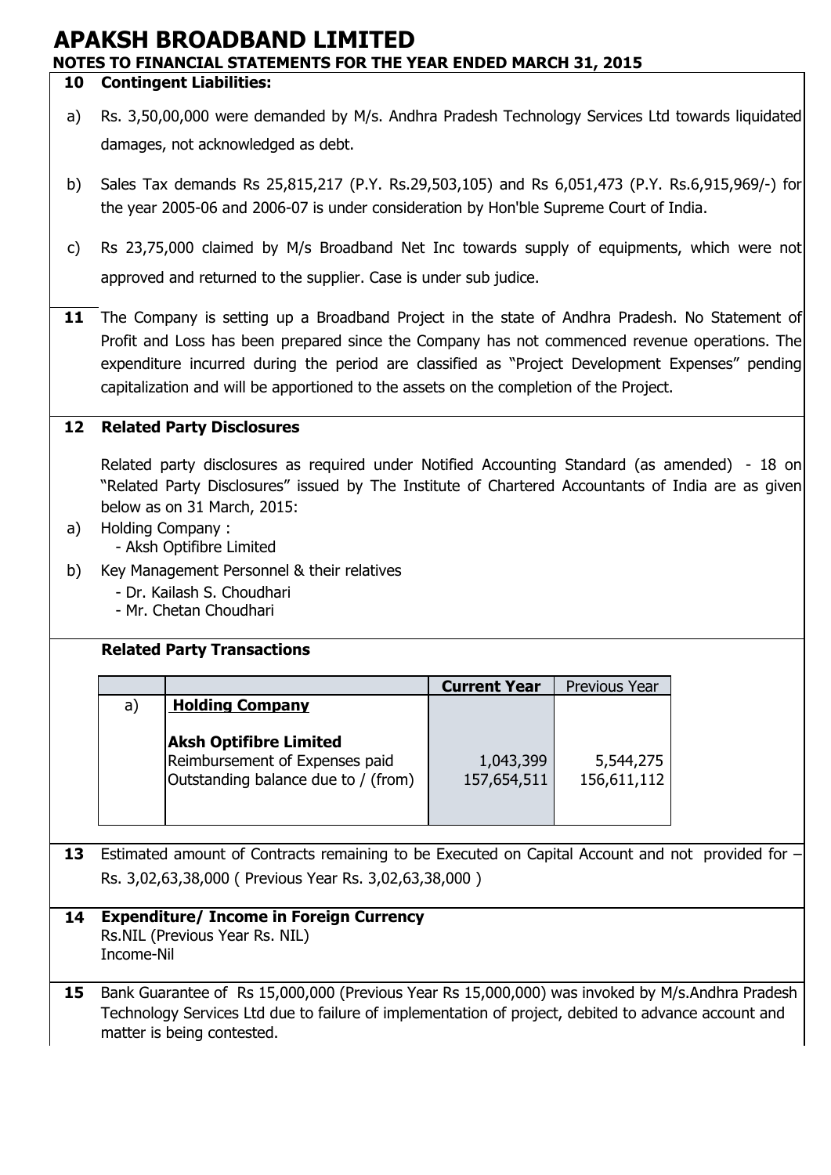#### **10 Contingent Liabilities:**

- a) Rs. 3,50,00,000 were demanded by M/s. Andhra Pradesh Technology Services Ltd towards liquidated damages, not acknowledged as debt.
- b) Sales Tax demands Rs 25,815,217 (P.Y. Rs.29,503,105) and Rs 6,051,473 (P.Y. Rs.6,915,969/-) for the year 2005-06 and 2006-07 is under consideration by Hon'ble Supreme Court of India.
- c) Rs 23,75,000 claimed by M/s Broadband Net Inc towards supply of equipments, which were not approved and returned to the supplier. Case is under sub judice.
- **11** The Company is setting up a Broadband Project in the state of Andhra Pradesh. No Statement of Profit and Loss has been prepared since the Company has not commenced revenue operations. The expenditure incurred during the period are classified as "Project Development Expenses" pending capitalization and will be apportioned to the assets on the completion of the Project.

#### **12 Related Party Disclosures**

Related party disclosures as required under Notified Accounting Standard (as amended) - 18 on "Related Party Disclosures" issued by The Institute of Chartered Accountants of India are as given below as on 31 March, 2015:

- a) Holding Company :
	- Aksh Optifibre Limited
- b) Key Management Personnel & their relatives
	- Dr. Kailash S. Choudhari
	- Mr. Chetan Choudhari

### **Related Party Transactions**

|    |                                                                                                        | <b>Current Year</b>      | Previous Year            |
|----|--------------------------------------------------------------------------------------------------------|--------------------------|--------------------------|
| a) | <b>Holding Company</b>                                                                                 |                          |                          |
|    | <b>Aksh Optifibre Limited</b><br>Reimbursement of Expenses paid<br>Outstanding balance due to / (from) | 1,043,399<br>157,654,511 | 5,544,275<br>156,611,112 |

**13** Estimated amount of Contracts remaining to be Executed on Capital Account and not provided for – Rs. 3,02,63,38,000 ( Previous Year Rs. 3,02,63,38,000 )

#### **14** Rs.NIL (Previous Year Rs. NIL) **Expenditure/ Income in Foreign Currency**

- Income-Nil
- **15** Bank Guarantee of Rs 15,000,000 (Previous Year Rs 15,000,000) was invoked by M/s.Andhra Pradesh Technology Services Ltd due to failure of implementation of project, debited to advance account and matter is being contested.